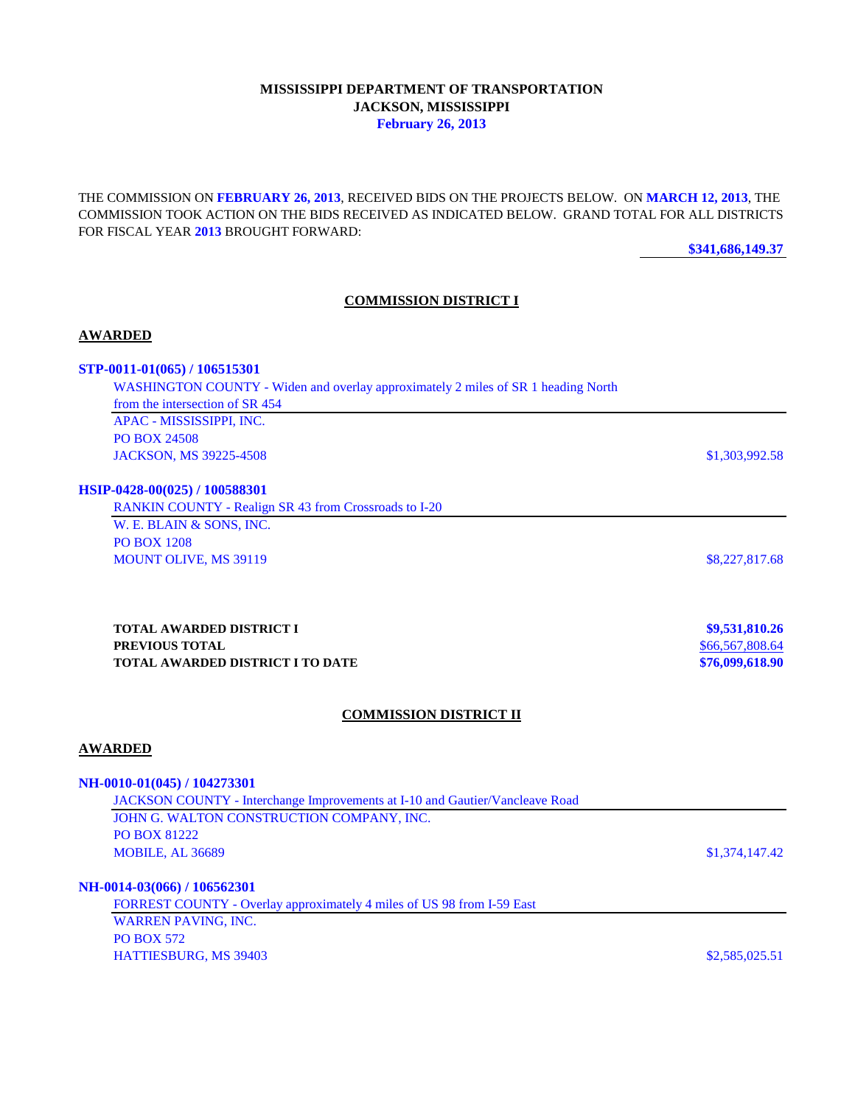# **MISSISSIPPI DEPARTMENT OF TRANSPORTATION JACKSON, MISSISSIPPI February 26, 2013**

THE COMMISSION ON **FEBRUARY 26, 2013**, RECEIVED BIDS ON THE PROJECTS BELOW. ON **MARCH 12, 2013**, THE COMMISSION TOOK ACTION ON THE BIDS RECEIVED AS INDICATED BELOW. GRAND TOTAL FOR ALL DISTRICTS FOR FISCAL YEAR **2013** BROUGHT FORWARD:

**\$341,686,149.37**

### **COMMISSION DISTRICT I**

#### **AWARDED**

#### **STP-0011-01(065) / 106515301**

WASHINGTON COUNTY - Widen and overlay approximately 2 miles of SR 1 heading North from the intersection of SR 454 APAC - MISSISSIPPI, INC. PO BOX 24508 JACKSON, MS 39225-4508 \$1,303,992.58

#### **HSIP-0428-00(025) / 100588301**

| <b>RANKIN COUNTY - Realign SR 43 from Crossroads to I-20</b> |                |
|--------------------------------------------------------------|----------------|
| W. E. BLAIN & SONS, INC.                                     |                |
| <b>PO BOX 1208</b>                                           |                |
| <b>MOUNT OLIVE, MS 39119</b>                                 | \$8,227,817.68 |

**TOTAL AWARDED DISTRICT I \$9,531,810.26 PREVIOUS TOTAL** \$66,567,808.64 **TOTAL AWARDED DISTRICT I TO DATE \$76,099,618.90**

#### **COMMISSION DISTRICT II**

## **AWARDED**

#### **NH-0010-01(045) / 104273301**

JACKSON COUNTY - Interchange Improvements at I-10 and Gautier/Vancleave Road JOHN G. WALTON CONSTRUCTION COMPANY, INC. PO BOX 81222 MOBILE, AL 36689 \$1,374,147.42

## **NH-0014-03(066) / 106562301**

FORREST COUNTY - Overlay approximately 4 miles of US 98 from I-59 East WARREN PAVING, INC. PO BOX 572 HATTIESBURG, MS 39403 \$2,585,025.51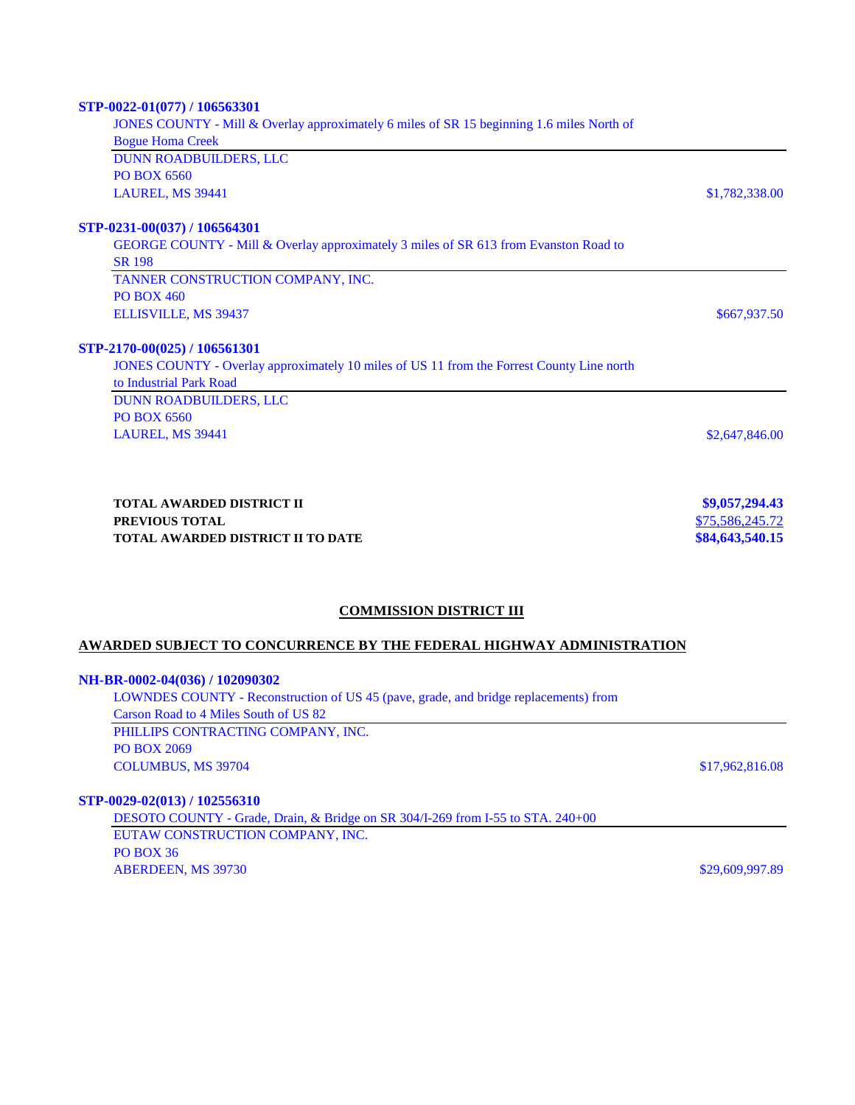| STP-0022-01(077) / 106563301                                                                          |                 |
|-------------------------------------------------------------------------------------------------------|-----------------|
| JONES COUNTY - Mill & Overlay approximately 6 miles of SR 15 beginning 1.6 miles North of             |                 |
| <b>Bogue Homa Creek</b>                                                                               |                 |
| <b>DUNN ROADBUILDERS, LLC</b>                                                                         |                 |
| <b>PO BOX 6560</b>                                                                                    |                 |
| LAUREL, MS 39441                                                                                      | \$1,782,338.00  |
| STP-0231-00(037) / 106564301                                                                          |                 |
| GEORGE COUNTY - Mill & Overlay approximately 3 miles of SR 613 from Evanston Road to<br><b>SR 198</b> |                 |
| TANNER CONSTRUCTION COMPANY, INC.                                                                     |                 |
| <b>PO BOX 460</b>                                                                                     |                 |
| <b>ELLISVILLE, MS 39437</b>                                                                           | \$667,937.50    |
| STP-2170-00(025) / 106561301                                                                          |                 |
| JONES COUNTY - Overlay approximately 10 miles of US 11 from the Forrest County Line north             |                 |
| to Industrial Park Road                                                                               |                 |
| <b>DUNN ROADBUILDERS, LLC</b>                                                                         |                 |
| PO BOX 6560                                                                                           |                 |
| LAUREL, MS 39441                                                                                      | \$2,647,846.00  |
|                                                                                                       |                 |
| TOTAL AWARDED DISTRICT II                                                                             | \$9,057,294.43  |
| PREVIOUS TOTAL                                                                                        | \$75,586,245.72 |
| TOTAL AWARDED DISTRICT II TO DATE                                                                     | \$84,643,540.15 |

# **COMMISSION DISTRICT III**

# **AWARDED SUBJECT TO CONCURRENCE BY THE FEDERAL HIGHWAY ADMINISTRATION**

### **NH-BR-0002-04(036) / 102090302**

| LOWNDES COUNTY - Reconstruction of US 45 (pave, grade, and bridge replacements) from |                 |
|--------------------------------------------------------------------------------------|-----------------|
| Carson Road to 4 Miles South of US 82                                                |                 |
| PHILLIPS CONTRACTING COMPANY, INC.                                                   |                 |
| PO BOX 2069                                                                          |                 |
| <b>COLUMBUS, MS 39704</b>                                                            | \$17,962,816.08 |
|                                                                                      |                 |

# **STP-0029-02(013) / 102556310**

DESOTO COUNTY - Grade, Drain, & Bridge on SR 304/I-269 from I-55 to STA. 240+00 EUTAW CONSTRUCTION COMPANY, INC. PO BOX 36 ABERDEEN, MS 39730 \$29,609,997.89